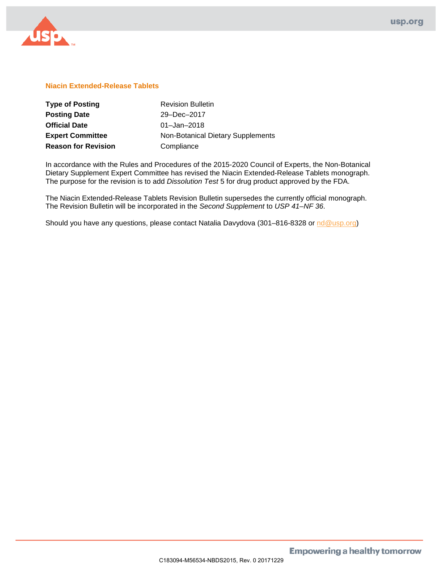

## **Niacin Extended-Release Tablets**

| <b>Type of Posting</b>     | <b>Revision Bulletin</b>          |
|----------------------------|-----------------------------------|
| <b>Posting Date</b>        | 29-Dec-2017                       |
| <b>Official Date</b>       | $01 -$ Jan $-2018$                |
| <b>Expert Committee</b>    | Non-Botanical Dietary Supplements |
| <b>Reason for Revision</b> | Compliance                        |

In accordance with the Rules and Procedures of the 2015-2020 Council of Experts, the Non-Botanical Dietary Supplement Expert Committee has revised the Niacin Extended-Release Tablets monograph. The purpose for the revision is to add *Dissolution Test* 5 for drug product approved by the FDA.

The Niacin Extended-Release Tablets Revision Bulletin supersedes the currently official monograph. The Revision Bulletin will be incorporated in the *Second Supplement* to *USP 41–NF 36*.

Should you have any questions, please contact Natalia Davydova (301–816-8328 or [nd@usp.org\)](mailto:nd@usp.org)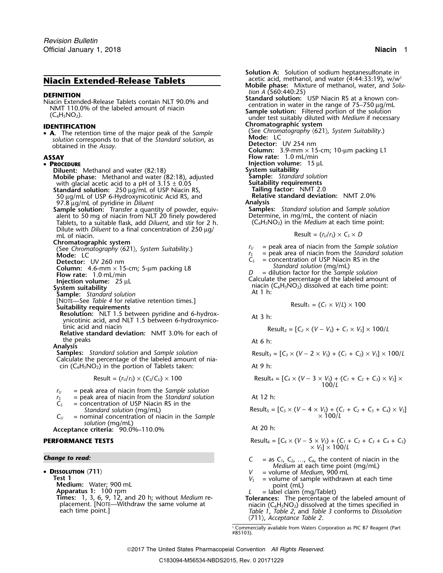# **Niacin Extended-Release Tablets** .

**DEFINITION**<br>
Miacin Extended-Release Tablets contain NLT 90.0% and<br>
MIT 110.0% of the labeled amount of niacin<br>
(C<sub>6</sub>H<sub>5</sub>NO<sub>2</sub>).<br>
C<sub>6</sub>H<sub>5</sub>NO<sub>2</sub>).<br>
C<sub>6</sub>H<sub>5</sub>NO<sub>2</sub>).<br>
C<sub>6</sub>H<sub>5</sub>NO<sub>2</sub>).<br>
C<sub>6</sub>H<sub>5</sub>NO<sub>2</sub>).

(See *Chromatography* 〈621〉*, System Suitability*.) • **A.** The retention time of the major peak of the *Sample* **s** in the corresponds to that of the *Standard solution*, as **Mode:** LC obtained in the *Assay* obtained in the Assay.

### • PROCEDURE

**Diluent:** Methanol and water (82:18) **System suitability**<br>**Mobile phase:** Methanol and water (82:18), adjusted **Sample:** Standard solution **Mobile phase:** Methanol and water (82:18), adjusted **Sample:** *Standard solutionial solutionial solutionial Notionial Sample: Standard solutionial with glacial acetic acid to a pH of 3.15*  $\pm$  *0.05* **Sultability requi** with glacial acetic acid to a pH of 3.15 ± 0.05 **Suitability requirements**<br> **Standard solution:** 250 ug/mL of USP Niacin RS. **Standard factor:** NMT 2.0 **Standard solution:**<sup>250</sup> <sup>µ</sup>g/mL of USP Niacin RS, **Tailing factor:** NMT 2.0

97.8 <sup>µ</sup>g/mL of pyridine in *Diluent* **Analysis**

**Sample solution:** Transfer a quantity of powder, equiv- **Samples:** *Standard solution* and *Sample solution* alent to 50 mg of niacin from NLT 20 finely powdered Determine, in mg/mL, the content of niacin Tablets, to a suitable flask, add *Diluent*, and stir for 2 h. (C<sub>6</sub>H<sub>5</sub>NO<sub>2</sub>) in the *Medium* at each time point: Dilute with *Diluent* to a final concentration of 250 µg/ mL of niacin.  $Result = (r<sub>U</sub>/r<sub>S</sub>) \times C<sub>S</sub> \times D$ 

**Chromatographic system**<br>
(See *Chromatography*  $\langle 621 \rangle$ , *System Suitability*.)<br> **Computer**  $r_y$  = peak area of niacin from the *Standard solution*<br> **Mode:** LC

[NOTE—See *Table 4* for relative retention times.] Result<sup>1</sup> = (*C<sup>1</sup>* <sup>×</sup> *<sup>V</sup>*/*L*) ×<sup>100</sup> **Suitability requirements**

**Resolution:** NLT 1.5 between pyridine and 6-hydrox-<br>At 3 h: ynicotinic acid, and NLT 1.5 between 6-hydroxynico-

tinic acid and niacin Result<sup>2</sup> = [*C<sup>2</sup>* <sup>×</sup> (*<sup>V</sup>* <sup>−</sup> *<sup>V</sup>S*) + *C<sup>1</sup>* <sup>×</sup> *<sup>V</sup>S*] × 100/*<sup>L</sup>* **Relative standard deviation:** NMT 3.0% for each of the peaks and the peaks are the peaks at 6 h:

**Analysis**

*Samples: Standard solution and Sample solution* Calculate the percentage of the labeled amount of niacin  $(C_6H_5NO_2)$  in the portion of Tablets taken: At 9 h:

$$
Result = (r_U/r_S) \times (C_S/C_U) \times 100
$$

- *<sup>r</sup><sup>U</sup>* = peak area of niacin from the *Sample solution*
- $r<sub>S</sub>$  = peak area of niacin from the *Standard solution* At 12 h:
- *C<sup>S</sup>* = concentration of USP Niacin RS in the  $Standard$ *solution* (*mg/mL*)
- $C_U$  = nominal concentration of niacin in the *Sample solution* (mg/mL)
- Acceptance criteria: 90.0%–110.0%

### $P$ **ERFORMANCE TESTS**

### *Change to read:*

•

**Test 1**<br> **Medium:** Water; 900 mL<br> **Medium:** Water; 900 mL<br> **Apparatus 1:** 100 rpm<br> **Times:** 1, 3, 6, 9, 12, and 20 h; without *Medium* re-<br> **Times:** 1, 3, 6, 9, 12, and 20 h; without *Medium* re-<br> **The percentage of the** 

- **Solution A:** Solution of sodium heptanesulfonate in
- acetic acid, methanol, and water  $(4:44:33:19)$ , w/w<sup>1</sup> **Mobile phase:** Mixture of methanol, water, and *Solu-*
- 
- 

**IDENTIFICATION**<br>• **A** The retention time of the major peak of the *Sample* (See Chromatography (621), System Suitability.)

**Column:** 3.9-mm  $\times$  15-cm; 10-µm packing L1 **ASSAY Flow rate:** 1.0 mL/min

**PRoof Injection volume:** 15 µL **System suitability** 

- 
- 

<sup>50</sup> <sup>µ</sup>g/mL of USP 6-Hydroxynicotinic Acid RS, and **Relative standard deviation:** NMT 2.0%

Result = 
$$
(r_U/r_s) \times C_s \times D
$$

- $r<sub>S</sub>$  = peak area of niacin from the *Standard solution*  $C<sub>S</sub>$  = concentration of USP Niacin RS in the
- **Detector:** UV 260 nm<br> **Detector:** UV 260 nm<br> **C**<sub>S</sub> = concentration of USP Niacin RS in the Standard solution (mg/mL)

**Column:** 4.6-mm × 15-cm; 5-µm packing L8<br>
Flow rate: 1.0 mL/min<br>
Injection volume: 25 µL<br>
System suitability<br>
System suitability<br>
Sample: Standard solution<br>
Sample: Standard solution<br>
Sample: Standard solution<br>
Sample: S

$$
Result_1 = (C_1 \times V/L) \times 100
$$

Result<sub>2</sub> = 
$$
[C_2 \times (V - V_s) + C_1 \times V_s] \times 100/L
$$

Result<sub>3</sub> = 
$$
[C_3 \times (V - 2 \times V_5) + (C_1 + C_2) \times V_5] \times 100/L
$$

Result = 
$$
(r_0/r_5) \times (C_5/C_0) \times 100
$$
  
Result =  $[C_4 \times (V - 3 \times V_5) + (C_1 + C_2 + C_3) \times V_5] \times 100/L$ 

$$
Result_{S} = [C_{S} \times (V - 4 \times V_{S}) + (C_{1} + C_{2} + C_{3} + C_{4}) \times V_{S}]
$$
  
× 100/L

Result<sub>6</sub> = 
$$
[C_6 \times (V - 5 \times V_5) + (C_1 + C_2 + C_3 + C_4 + C_5) \times V_5] \times 100/L
$$

| Change to read:       | \n $C = \text{as } C_1, C_2, \ldots, C_6$ , the content of niacin in the <i>Medium</i> at each time point (mg/mL)\n |
|-----------------------|---------------------------------------------------------------------------------------------------------------------|
| DiscussionATION (711) | \n $V = \text{volume of Medium, 900 ml}$ \n                                                                         |

- 
- 

<sup>p</sup>lacement. [NOTE—Withdraw the same volume at niacin (C6H5NO2) dissolved at the times specified in each time point.] *Table 1*, *Table 2*, and *Table 3* conforms to *Dissolution* 〈711〉, *Acceptance Table 2*.

> 1. Commercially available from Waters Corporation as PIC B7 Reagent (Part #85103).

2017 The United States Pharmacopeial Convention *All Rights Reserved.*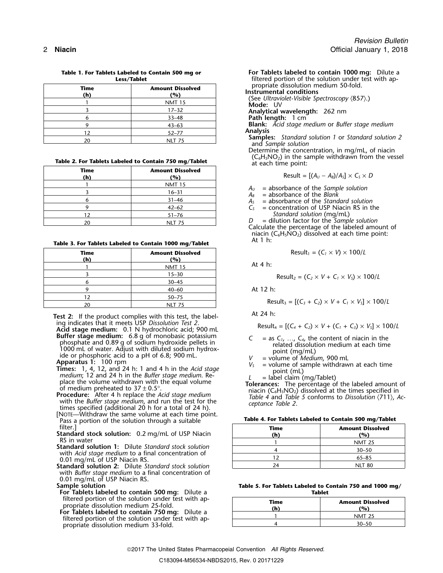|             | -----------                    |                                                               |
|-------------|--------------------------------|---------------------------------------------------------------|
| Time<br>(h) | <b>Amount Dissolved</b><br>(%) | propriate dissolution medium 50<br>Instrumental conditions    |
|             | <b>NMT 15</b>                  | (See Ultraviolet-Visible Spectroscop)<br>Mode: UV             |
|             | $17 - 32$                      | Analytical wavelength: 262 nm                                 |
|             | $33 - 48$                      | Path length: 1 cm                                             |
|             | $43 - 63$                      | <b>Blank:</b> Acid stage medium or Buff                       |
|             | $52 - 77$                      | <b>Analysis</b>                                               |
|             | <b>NLT 75</b>                  | <b>Samples:</b> Standard solution 1 or<br>and Sample solution |

# Table 2. For Tablets Labeled to Contain 750 mg/Tablet at each time point:

| Time<br>(h) | <b>Amount Dissolved</b><br>(%) | Result = $[(A_U - A_B)/A_S] \times C_S \times D$                     |
|-------------|--------------------------------|----------------------------------------------------------------------|
|             | <b>NMT 15</b>                  | $=$ absorbance of the Sample solution<br>$A_{\scriptscriptstyle II}$ |
|             | $16 - 31$                      | $A_R$ = absorbance of the Blank                                      |
|             | $31 - 46$                      | = absorbance of the Standard solution                                |
|             | $42 - 62$                      | = concentration of USP Niacin RS in t                                |
|             | $51 - 76$                      | Standard solution (mg/mL)                                            |
| 20          | <b>NLT 75</b>                  | $=$ dilution factor for the Sample solution                          |

Table 3. For Tablets Labeled to Contain 1000 mg/Tablet

| Time | <b>Amount Dissolved</b><br>(%) | Result <sub>1</sub> = $(C_1 \times V) \times 100/L$                          |
|------|--------------------------------|------------------------------------------------------------------------------|
|      | <b>NMT 15</b>                  | At 4 $h$ :                                                                   |
|      | $15 - 30$                      | Result <sub>2</sub> = $(C_2 \times V + C_1 \times V_s) \times 100/L$         |
|      | $30 - 45$                      |                                                                              |
|      | $40 - 60$                      | At 12 h:                                                                     |
|      | $50 - 75$                      |                                                                              |
| 20   | NLT 75                         | Result <sub>3</sub> = $[(C_3 + C_2) \times V + C_1 \times V_5] \times 100/L$ |

**Test 2:** If the product complies with this test, the label-<br>ing indicates that it meets USP Dissolution Test 2.

Acid stage medium: 0.1 N hydrochloric acid; 900 mL<br>Buffer stage medium: 6.8 g of monobasic potassium **Buffer stage medium:** 6.8 g of monobasic potassium<br>
1000 mL of water. Adjust with diluted sodium hydroxide pellets in<br>
1000 mL of water. Adjust with diluted sodium hydrox-<br>
ide or phosphoric acid to a pH of 6.8; 900 mL.<br>

- 
- with the *Buffer stage medium*, and run the test for the times specified (additional 20 h for a total of 24 h).<br>[NOTE—Withdraw the same volume at each time point. Pass a portion of the solution through a suitable filter.]
- 

- **Standard solution 1:** Dilute *Standard stock solution* with *Acid stage medium* to a final concentration of 0.01 mg/mL of USP Niacin RS.
- **Standard solution 2:** Dilute Standard stock solution with *Buffer stage medium* to a final concentration of 0.01 mg/mL of USP Niacin RS.

**Sample solution** 

- **For Tablets labeled to contain 500 mg:** Dilute a filtered portion of the solution under test with appropriate dissolution medium 25-fold.
- **For Tablets labeled to contain 750 mg:** Dilute a 1 For Tablets labeled to contain 750 mg: Dilute a propriate dissolution medium 33-fold.

**Table 1. For Tablets Labeled to Contain 500 mg or For Tablets labeled to contain 1000 mg:** Dilute a **For Tablets labeled to contain 1000 mg:** Dilute a *For Tablet Portion of the solution under test with an*filtered portion of the solution under test with ap-<br>propriate dissolution medium 50-fold.

**Instrumental conditions**<br>
(See Ultraviolet-Visible Spectroscopy  $\langle 857 \rangle$ .)<br> **Mode:** UV

<sup>9</sup> 43–63 **Blank:** *Acid stage medium* or *Buffer stage medium*

**Samples:** *Standard solution 1* or *Standard solution 2* and *Sample solution* 

Determine the concentration, in mg/mL, of niacin  $(C_6H_5NO_2)$  in the sample withdrawn from the vessel

$$
Result = [(A_U - A_B)/A_S] \times C_S \times D
$$

- $A<sub>S</sub>$  = absorbance of the *Standard solution*
- $C<sub>S</sub>$  = concentration of USP Niacin RS in the

Calculate the percentage of the labeled amount of niacin ( $C_6H_5NO_2$ ) dissolved at each time point:<br>At 1 h:

$$
Result_1 = (C_1 \times V) \times 100/L
$$

$$
Result_2 = (C_2 \times V + C_1 \times V_5) \times 100/L
$$

$$
Result_3 = [(C_3 + C_2) \times V + C_1 \times V_5] \times 100/L
$$

Result<sub>4</sub> = 
$$
[(C_4 + C_2) \times V + (C_1 + C_3) \times V_5] \times 100/L
$$

- 
- 
- 

| Table 4. For Tablets Labeled to Contain 500 mg/Tablet |  |  |  |  |  |  |  |
|-------------------------------------------------------|--|--|--|--|--|--|--|
|-------------------------------------------------------|--|--|--|--|--|--|--|

| filter.]<br><b>tandard stock solution:</b> 0.2 mg/mL of USP Niacin                 | Time<br>(h) | <b>Amount Dissolved</b><br>(%) |
|------------------------------------------------------------------------------------|-------------|--------------------------------|
| RS in water                                                                        |             | <b>NMT 25</b>                  |
| <b>tandard solution 1:</b> Dilute Standard stock solution                          |             | $30 - 50$                      |
| with Acid stage medium to a final concentration of<br>0.01 mg/mL of USP Niacin RS. |             | $65 - 85$                      |
| tandard solution 2: Dilute Standard stock solution                                 | 24          | <b>NLT 80</b>                  |

|        |  |  | Table 5. For Tablets Labeled to Contain 750 and 1000 mg/ |  |  |  |  |
|--------|--|--|----------------------------------------------------------|--|--|--|--|
| Tablet |  |  |                                                          |  |  |  |  |

| Time<br>(h) | <b>Amount Dissolved</b><br>(%` |  |
|-------------|--------------------------------|--|
|             | <b>NMT 25</b>                  |  |
|             | $30 - 50$                      |  |

2017 The United States Pharmacopeial Convention *All Rights Reserved.*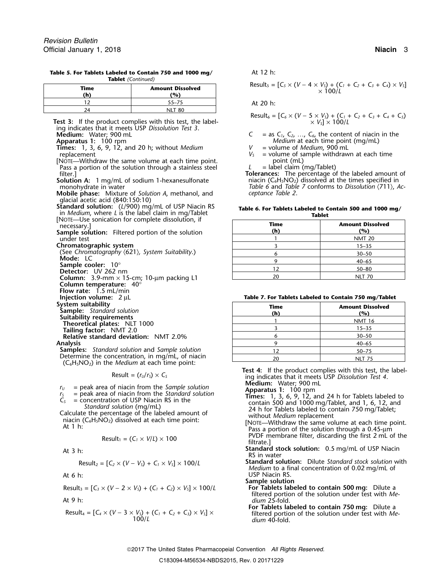| Time | <b>Amount Dissolved</b><br>(%) | Result <sub>5</sub> = [C <sub>5</sub> × (V – 4 × V <sub>5</sub> ) + (C <sub>1</sub> + C <sub>2</sub> + C <sub>3</sub> + C <sub>4</sub> ) × V <sub>5</sub> ]<br>$\times$ 100/L |
|------|--------------------------------|-------------------------------------------------------------------------------------------------------------------------------------------------------------------------------|
|      | 55–75                          | At 20 h:                                                                                                                                                                      |
| 24   | <b>NLT 80</b>                  |                                                                                                                                                                               |

**Table 5. For Tablets Labeled to Contain 750 and 1000 mg/** At 12 h: **Tablet** *(Continued)*

Test 3: If the product complies with this test, the labeling indicates that it meets USP *Dissolution Test 3*.

**Times:** 1, 3, 6, 9, 12, and 20 h; without *Medium V* = volume of *Medium*, 900 mL

[NOTE—Withdraw the same volume at each time point. point (mL)<br>Pass a portion of the solution through a stainless steel  $L =$  label claim (mg/Tablet) Pass a portion of the solution through a stainless steel filter.<sup>1</sup>

**Mobile phase:** Mixture of *Solution A*, methanol, and glacial acetic acid (840:150:10)

**Standard solution:**  $(L/900)$  mg/mL of USP Niacin RS<br>in *Medium*, where *L* is the label claim in mg/Tablet<br>[NOTE—Use sonication for complete dissolution, if

**Chromatographic system** 

(See Chromatography *〈621〉, System Suitability.*)<br>**Mode:** LC **Mode:** LC <sup>9</sup> 40–65 **Sample cooler:** 10° <sup>12</sup> 50–80 **Detector:** UV 262 nm **Column:** <sup>20</sup> NLT 70 3.9-mm × 15-cm; 10-µm packing L1 **Column temperature:** 40° **Flow rate:** 1.5 mL/min **Injection volume:** 2 µL

- **Relative standard deviation: NMT 2.0%**
- **Samples:** *Standard solution* and *Sample solution* Determine the concentration, in mg/mL, of niacin (C<sub>6</sub>H<sub>5</sub>NO<sub>2</sub>) in the *Medium* at each time point:

$$
Result = (r_U/r_S) \times C_S
$$

- 
- -

$$
Result_1 = (C_1 \times V/L) \times 100
$$

Result<sub>2</sub> = 
$$
[C_2 \times (V - V_S) + C_1 \times V_S] \times 100/L
$$

Result<sub>3</sub> = 
$$
[C_3 \times (V - 2 \times V_5) + (C_1 + C_2) \times V_5] \times 100/L
$$

$$
Result_4 = [C_4 \times (V - 3 \times V_5) + (C_1 + C_2 + C_3) \times V_5] \times 100/L
$$

Result<sub>5</sub> = 
$$
[C_5 \times (V - 4 \times V_5) + (C_1 + C_2 + C_3 + C_4) \times V_5]
$$
  
× 100/L

$$
Result_6 = [C_6 \times (V - 5 \times V_5) + (C_1 + C_2 + C_3 + C_4 + C_5) \times V_5] \times 100/L
$$

 $C = \text{as } C_1, C_2, \ldots, C_6, \text{ the content of niacin in the *Medium* at each time point (mg/mL)$ **Apparatus 1:** 100 rpm *Medium* at each time point (mg/mL)

- 
- replacement<br>Nore—Withdraw the same volume at each time point.<br>*V<sub>S</sub>* = volume of sample withdrawn at each time point.<br>point (mL)

**Tolerances:** The percentage of the labeled amount of **Solution A:** 1 mg/mL of sodium 1-hexanesulfonate niacin (C<sub>6</sub>H<sub>5</sub>NO<sub>2</sub>) dissolved at the times specified in monohydrate in water niacin (711), A Table 6 and *Table 7* conforms to *Dissolution*  $\langle 711 \rangle$ , *Acceptance Table 2*.

| Table 6. For Tablets Labeled to Contain 500 and 1000 mg/ |  |  |  |  |  |
|----------------------------------------------------------|--|--|--|--|--|
| Tablet                                                   |  |  |  |  |  |

| NOTE—OSE SOMICATION TOP COMPRETE GISSORITOM, IT<br>necessary.] | Time<br>(h) | <b>Amount Dissolved</b><br>(%) |
|----------------------------------------------------------------|-------------|--------------------------------|
| ample solution: Filtered portion of the solution<br>under test |             | <b>NMT 20</b>                  |
| hromatographic system                                          |             | $15 - 35$                      |
| (See Chromatography $(621)$ , System Suitability.)             |             | $30 - 50$                      |
| Mode: LC                                                       |             | $40 - 65$                      |
| Sample cooler: $10^{\circ}$<br>Detector: UV 262 nm             |             | $50 - 80$                      |
| <b>Column:</b> 3.9-mm $\times$ 15-cm; 10-µm packing L1         | 20          | <b>NLT 70</b>                  |

| Table 7. For Tablets Labeled to Contain 750 mg/Tablet |  |  |  |
|-------------------------------------------------------|--|--|--|
|-------------------------------------------------------|--|--|--|

| System suitability<br><b>Sample:</b> Standard solution                                                            | <b>Time</b><br>(h) | <b>Amount Dissolved</b><br>(%) |
|-------------------------------------------------------------------------------------------------------------------|--------------------|--------------------------------|
| Suitability requirements                                                                                          |                    | <b>NMT 16</b>                  |
| Theoretical plates: NLT 1000<br><b>Tailing factor: NMT 2.0</b>                                                    |                    | $15 - 35$                      |
| <b>Relative standard deviation: NMT 2.0%</b>                                                                      |                    | $30 - 50$                      |
| Analvsis                                                                                                          |                    | $40 - 65$                      |
| <b>Samples:</b> Standard solution and Sample solution                                                             |                    | $50 - 75$                      |
| Determine the concentration, in mg/mL, of niacin<br>$\sqrt{6}$ II N $\sqrt{2}$ is the Medium at each time and the | 20                 | <b>NLT 75</b>                  |

Test 4: If the product complies with this test, the label-<br>ing indicates that it meets USP *Dissolution Test 4*.<br>Medium: Water; 900 mL

- $r_0$  = peak area of niacin from the *Sample solution*<br>  $r_5$  = peak area of niacin from the *Standard solution*<br>  $r_5$  = concentration of USP Niacin RS in the<br> *Standard solution* (mg/mL)<br>
Calculate the percentage of the
	- PVDF membrane filter, discarding the first 2 mL of the filtrate.]
- At 3 h:<br>**Standard stock solution:** 0.5 mg/mL of USP Niacin<br>RS in water
- $R$  **Standard solution:** Dilute Standard stock solution with *Medium* to a final concentration of 0.02 mg/mL of At 6 h: USP Niacin RS.

**Sample solution**

- Result<sup>3</sup> = [*C<sup>3</sup>* <sup>×</sup> (*V* <sup>−</sup> 2 <sup>×</sup> *VS*) + (*C1*<sup>+</sup>*C2*) <sup>×</sup> *VS*] × 100/*L* **For Tablets labeled to contain 500 mg:** Dilute a filtered portion of the solution under test with *Me-*At 9 h: *dium* 25-fold.
	- **For Tablets labeled to contain 750 mg:** Dilute a Result<sup>4</sup> = [*C<sup>4</sup>* <sup>×</sup> (*<sup>V</sup>* <sup>−</sup> 3 <sup>×</sup> *<sup>V</sup>S*) + (*C1*<sup>+</sup>*C2*<sup>+</sup>*C3*) <sup>×</sup> *<sup>V</sup>S*] <sup>×</sup> filtered portion of the solution under test with *Me-*100/*L dium* 40-fold.

2017 The United States Pharmacopeial Convention *All Rights Reserved.*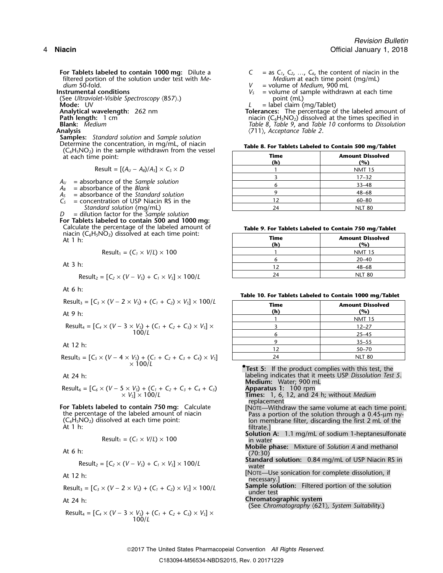**For Tablets labeled to contain 1000 mg:** Dilute a  $C = \text{as } C_1, C_2, \ldots, C_6$ , the content of niacin in the filtered portion of the solution under test with *Me- Medium* 50-fold. *dium* 50-fold. **a dium** 50-fold. *P* **and the set of** *Medium*, 900 mL **numental conditions** *V* a volume of sample withdraw

(See *Ultraviolet-Visible Spectroscopy* (857).)<br>**Mode:** UV L

**Samples:** *Standard solution* and *Sample solution*  $(C_6H_5NO_2)$  in the sample withdrawn from the vessel  $at$  each time point:

$$
Result = [(A_U - A_B)/A_S] \times C_S \times D
$$

 $A_U$  = absorbance of the *Sample solution*<br> $A_B$  = absorbance of the *Blank* 

- 
- $A<sub>S</sub>$  = absorbance of the *Standard solution*
- $C_{S}$  = concentration of USP Niacin RS in the
- *Standard solution* (mg/mL)

*D* = dilution factor for the *Sample solution* **For Tablets labeled to contain 500 and 1000 mg:**<br>Calculate the percentage of the labeled amount of Calculate the percentage of the labeled amount of **Table 9. For Tablets Labeled to Contain 750 mg/Tablet**<br>
niacin (C<sub>6</sub>H<sub>5</sub>NO<sub>2</sub>) dissolved at each time point: **Time Amount Dissolved**<br>
At 1 h:

$$
Result_1 = (C_1 \times V/L) \times 100
$$

$$
Result_2 = [C_2 \times (V - V_3) + C_1 \times V_3] \times 100/L
$$
 24 24 NLT 80

At 6 h:

Result<sub>3</sub> = 
$$
[C_3 \times (V - 2 \times V_5) + (C_1 + C_2) \times V_5] \times 100/L
$$

$$
Result_5 = [C_5 \times (V - 4 \times V_5) + (C_1 + C_2 + C_3 + C_4) \times V_5]
$$
  
 
$$
\times 100/L
$$

Result<sub>6</sub> = 
$$
[C_6 \times (V - 5 \times V_5) + (C_1 + C_2 + C_3 + C_4 + C_5)
$$
  
  $\times V_5] \times 100/L$   
 100 mm  
 100 mm  
 100 mm

$$
Result_1 = (C_1 \times V/L) \times 100
$$

Result<sub>2</sub> = 
$$
[C_2 \times (V - V_5) + C_1 \times V_5] \times 100/L
$$

Result<sub>3</sub> = 
$$
[C_3 \times (V - 2 \times V_5) + (C_1 + C_2) \times V_5] \times 100/L
$$

Result<sup>4</sup> = [*C<sup>4</sup>* <sup>×</sup> (*V* <sup>−</sup> 3 <sup>×</sup> *VS*) + (*C1*<sup>+</sup>*C2*<sup>+</sup>*C3*) <sup>×</sup> *VS*] <sup>×</sup> 100/*L*

$$
C = \text{as } C_1, C_2, \ldots, C_6
$$
, the content of niacin in the *Medium* at each time point (mg/mL)

- 
- = volume of sample withdrawn at each time point (mL)
- 

**Mode:** UV<br> **Analytical wavelength:** 262 nm<br> **Path length:** 1 cm<br> **Path length:** 1 cm<br> **Path length:** 1 cm<br> **Path length:** 1 cm<br> **Path length:** 1 cm **Analytical wavelength:** 262 nm **Tolerances:** The percentage of the labeled amount of **Path length:** 1 cm niacin (C6H5NO2) dissolved at the times specified in **Blank:** *Medium Table 8*, *Table 9*, and *Table 10* conforms to *Dissolution* **Analysis** 〈711〉, *Acceptance Table 2*.

| in the sample withdrawn from the vessel<br>e point: | <b>Time</b><br>(h) | <b>Amount Dissolved</b><br>(%) |  |
|-----------------------------------------------------|--------------------|--------------------------------|--|
| Result = $[(A_U - A_B)/A_S] \times C_S \times D$    |                    | <b>NMT 15</b>                  |  |
|                                                     |                    | $17 - 32$                      |  |
| bance of the Sample solution<br>bance of the Blank  |                    | $33 - 48$                      |  |
| bance of the Standard solution                      |                    | $48 - 68$                      |  |
| entration of USP Niacin RS in the                   |                    | $60 - 80$                      |  |
| dard solution (mg/mL)                               | 24                 | <b>NLT 80</b>                  |  |

| niacin ( $C_6H_5NO_2$ ) dissolved at each time point:<br>At 1 h: | Time<br>(h` | <b>Amount Dissolved</b><br>(%)<br><b>NMT 15</b> |  |
|------------------------------------------------------------------|-------------|-------------------------------------------------|--|
| Result <sub>1</sub> = $(C_1 \times V/L) \times 100$              |             |                                                 |  |
|                                                                  |             | $20 - 40$                                       |  |
| At 3 h:                                                          |             | 48–68                                           |  |
| Results = $[C_2 \times (V - V_1) + C_2 \times V_2] \times 100/l$ | 24          | <b>NLT 80</b>                                   |  |

**Table 10. For Tablets Labeled to Contain 1000 mg/Tablet**

| Result <sub>3</sub> = $[C_3 \times (V - 2 \times V_5) + (C_1 + C_2) \times V_5] \times 100/L$ | <b>Time</b> | <b>Amount Dissolved</b> |
|-----------------------------------------------------------------------------------------------|-------------|-------------------------|
| At 9 h:                                                                                       | (h)         | (%)                     |
|                                                                                               |             | <b>NMT 15</b>           |
| Result <sub>4</sub> = $[C_4 \times (V - 3 \times V_5) + (C_1 + C_2 + C_3) \times V_5] \times$ |             | $12 - 27$               |
| 100/L                                                                                         |             | $25 - 45$               |
| At 12 h:                                                                                      |             | $35 - 55$               |
|                                                                                               | 12          | $50 - 70$               |
| Result <sub>s</sub> = $[C_5 \times (V - 4 \times V_5) + (C_1 + C_2 + C_3 + C_4) \times V_5]$  | 24          | <b>NLT 80</b>           |

**.Test 5:** If the product complies with this test, the At 24 h: labeling indicates that it meets USP *Dissolution Test 5*. **Medium:** Water; 900 mL

**Times:** 1, 6, 12, and 24 h; without *Medium*<br>replacement

- **For Tablets labeled to contain 750 mg:** Calculate [NOTE—Withdraw the same volume at each time point.<br>
the percentage of the labeled amount of niacin Pass a portion of the solution through a 0.45-µm ny-<br>  $(C_6H_5NO_2)$  diss
	- **Solution A:** 1.1 mg/mL of sodium 1-heptanesulfonate in water
- **Mobile phase:** Mixture of *Solution A* and methanol At 6 h: (70:30)
	- **Standard solution:** 0.84 mg/mL of USP Niacin RS in water
- At 12 h:<br>At 12 h: necessary.] More sonication for complete dissolution, if
	- **Sample solution:** Filtered portion of the solution Result<sup>3</sup> = [*C<sup>3</sup>* <sup>×</sup> (*<sup>V</sup>* <sup>−</sup> 2 <sup>×</sup> *<sup>V</sup>S*) + (*C1*<sup>+</sup>*C2*) <sup>×</sup> *<sup>V</sup>S*] × 100/*<sup>L</sup>* under test

At 24 h: **Chromatographic system**

(See *Chromatography* 〈621〉*, System Suitability*.)

2017 The United States Pharmacopeial Convention *All Rights Reserved.* C183094-M56534-NBDS2015, Rev. 0 20171229